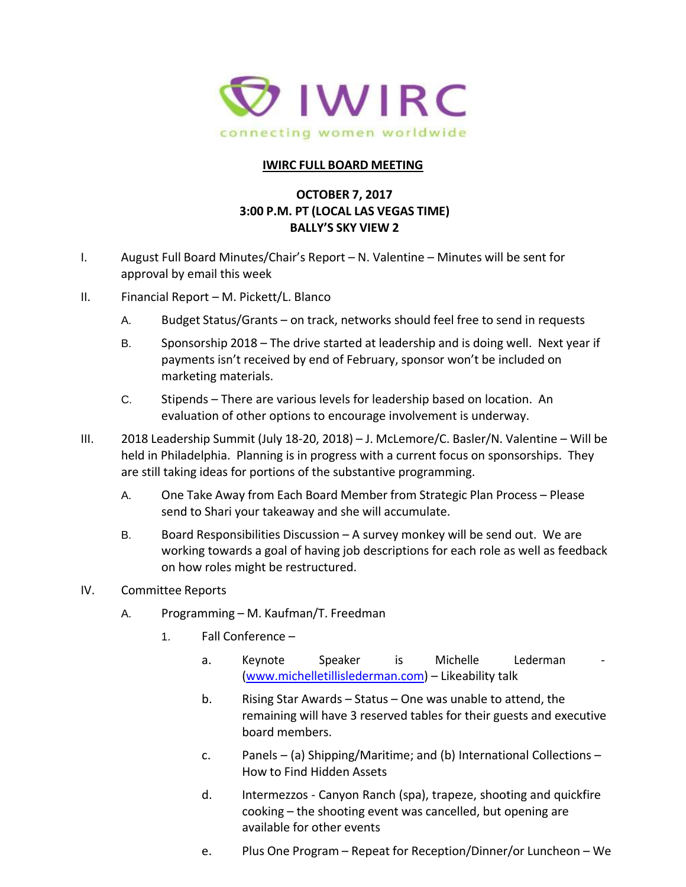

## **IWIRC FULL BOARD MEETING**

## **OCTOBER 7, 2017 3:00 P.M. PT (LOCAL LAS VEGAS TIME) BALLY'S SKY VIEW 2**

- I. August Full Board Minutes/Chair's Report N. Valentine Minutes will be sent for approval by email this week
- II. Financial Report M. Pickett/L. Blanco
	- A. Budget Status/Grants on track, networks should feel free to send in requests
	- B. Sponsorship 2018 The drive started at leadership and is doing well. Next year if payments isn't received by end of February, sponsor won't be included on marketing materials.
	- C. Stipends There are various levels for leadership based on location. An evaluation of other options to encourage involvement is underway.
- III. 2018 Leadership Summit (July 18-20, 2018) J. McLemore/C. Basler/N. Valentine Will be held in Philadelphia. Planning is in progress with a current focus on sponsorships. They are still taking ideas for portions of the substantive programming.
	- A. One Take Away from Each Board Member from Strategic Plan Process Please send to Shari your takeaway and she will accumulate.
	- B. Board Responsibilities Discussion A survey monkey will be send out. We are working towards a goal of having job descriptions for each role as well as feedback on how roles might be restructured.
- IV. Committee Reports
	- A. Programming M. Kaufman/T. Freedman
		- 1. Fall Conference
			- a. Keynote Speaker is Michelle Lederman [\(www.michelletillislederman.com\)](https://protect-us.mimecast.com/s/mmoXB0Tq55mZHl?domain=urldefense.proofpoint.com) – Likeability talk
			- b. Rising Star Awards Status One was unable to attend, the remaining will have 3 reserved tables for their guests and executive board members.
			- c. Panels (a) Shipping/Maritime; and (b) International Collections How to Find Hidden Assets
			- d. Intermezzos Canyon Ranch (spa), trapeze, shooting and quickfire cooking – the shooting event was cancelled, but opening are available for other events
			- e. Plus One Program Repeat for Reception/Dinner/or Luncheon We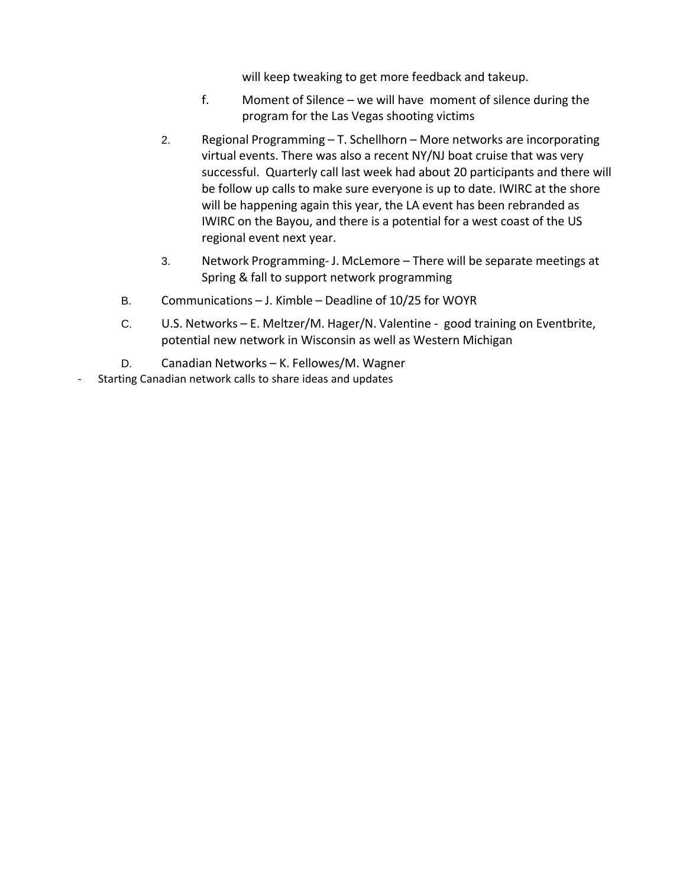will keep tweaking to get more feedback and takeup.

- f. Moment of Silence we will have moment of silence during the program for the Las Vegas shooting victims
- 2. Regional Programming T. Schellhorn More networks are incorporating virtual events. There was also a recent NY/NJ boat cruise that was very successful. Quarterly call last week had about 20 participants and there will be follow up calls to make sure everyone is up to date. IWIRC at the shore will be happening again this year, the LA event has been rebranded as IWIRC on the Bayou, and there is a potential for a west coast of the US regional event next year.
- 3. Network Programming- J. McLemore There will be separate meetings at Spring & fall to support network programming
- B. Communications J. Kimble Deadline of 10/25 for WOYR
- C. U.S. Networks E. Meltzer/M. Hager/N. Valentine good training on Eventbrite, potential new network in Wisconsin as well as Western Michigan
- D. Canadian Networks K. Fellowes/M. Wagner
- Starting Canadian network calls to share ideas and updates